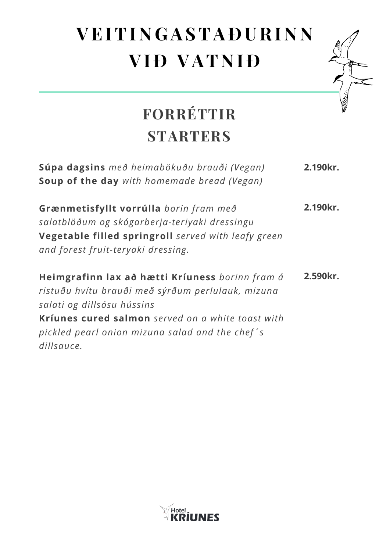## **VE ITI N G ASTA Ð URI N N VI Ð VAT N I Ð**



## **FORRÉTTIR STARTERS**

| Súpa dagsins með heimabökuðu brauði (Vegan)<br><b>Soup of the day</b> with homemade bread (Vegan)                                                                                                                                                        | 2.190kr. |
|----------------------------------------------------------------------------------------------------------------------------------------------------------------------------------------------------------------------------------------------------------|----------|
| Grænmetisfyllt vorrúlla borin fram með<br>salatblöðum og skógarberja-teriyaki dressingu<br>Vegetable filled springroll served with leafy green<br>and forest fruit-teryaki dressing.                                                                     | 2.190kr. |
| Heimgrafinn lax að hætti Kríuness borinn fram á<br>ristuðu hvítu brauði með sýrðum perlulauk, mizuna<br>salati og dillsósu hússins<br>Kríunes cured salmon served on a white toast with<br>pickled pearl onion mizuna salad and the chef's<br>dillsauce. | 2.590kr. |

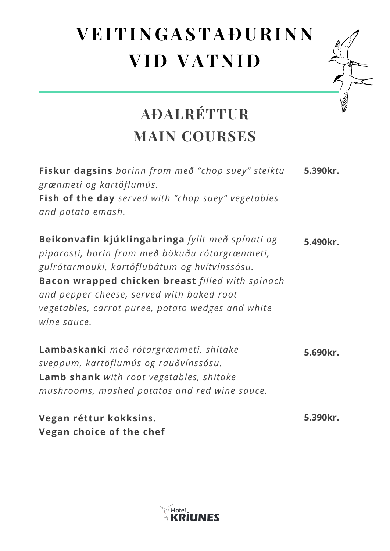## **VE ITI N G ASTA Ð URI N N VI Ð VAT N I Ð**



| Fiskur dagsins borinn fram með "chop suey" steiktu<br>grænmeti og kartöflumús.                                                                                                                                                                                                                                                   | 5.390kr. |
|----------------------------------------------------------------------------------------------------------------------------------------------------------------------------------------------------------------------------------------------------------------------------------------------------------------------------------|----------|
| Fish of the day served with "chop suey" vegetables                                                                                                                                                                                                                                                                               |          |
| and potato emash.                                                                                                                                                                                                                                                                                                                |          |
| Beikonvafin kjúklingabringa fyllt með spínati og<br>piparosti, borin fram með bökuðu rótargrænmeti,<br>gulrótarmauki, kartöflubátum og hvítvínssósu.<br><b>Bacon wrapped chicken breast filled with spinach</b><br>and pepper cheese, served with baked root<br>vegetables, carrot puree, potato wedges and white<br>wine sauce. | 5.490kr. |
| Lambaskanki með rótargrænmeti, shitake<br>sveppum, kartöflumús og rauðvínssósu.<br><b>Lamb shank</b> with root vegetables, shitake<br>mushrooms, mashed potatos and red wine sauce.                                                                                                                                              | 5.690kr. |
| Vegan réttur kokksins.<br>Vegan choice of the chef                                                                                                                                                                                                                                                                               | 5.390kr. |